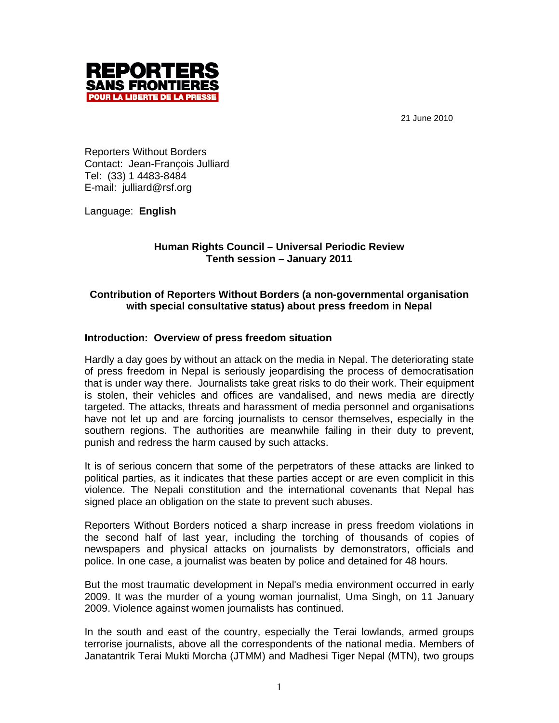21 June 2010



Reporters Without Borders Contact: Jean-François Julliard Tel: (33) 1 4483-8484 E-mail: julliard@rsf.org

Language: **English**

## **Human Rights Council – Universal Periodic Review Tenth session – January 2011**

# **Contribution of Reporters Without Borders (a non-governmental organisation with special consultative status) about press freedom in Nepal**

# **Introduction: Overview of press freedom situation**

Hardly a day goes by without an attack on the media in Nepal. The deteriorating state of press freedom in Nepal is seriously jeopardising the process of democratisation that is under way there. Journalists take great risks to do their work. Their equipment is stolen, their vehicles and offices are vandalised, and news media are directly targeted. The attacks, threats and harassment of media personnel and organisations have not let up and are forcing journalists to censor themselves, especially in the southern regions. The authorities are meanwhile failing in their duty to prevent, punish and redress the harm caused by such attacks.

It is of serious concern that some of the perpetrators of these attacks are linked to political parties, as it indicates that these parties accept or are even complicit in this violence. The Nepali constitution and the international covenants that Nepal has signed place an obligation on the state to prevent such abuses.

Reporters Without Borders noticed a sharp increase in press freedom violations in the second half of last year, including the torching of thousands of copies of newspapers and physical attacks on journalists by demonstrators, officials and police. In one case, a journalist was beaten by police and detained for 48 hours.

But the most traumatic development in Nepal's media environment occurred in early 2009. It was the murder of a young woman journalist, Uma Singh, on 11 January 2009. Violence against women journalists has continued.

In the south and east of the country, especially the Terai lowlands, armed groups terrorise journalists, above all the correspondents of the national media. Members of Janatantrik Terai Mukti Morcha (JTMM) and Madhesi Tiger Nepal (MTN), two groups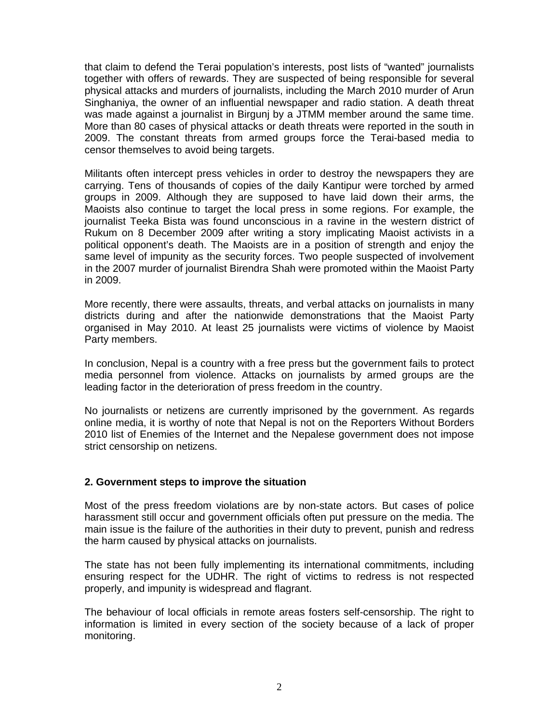that claim to defend the Terai population's interests, post lists of "wanted" journalists together with offers of rewards. They are suspected of being responsible for several physical attacks and murders of journalists, including the March 2010 murder of Arun Singhaniya, the owner of an influential newspaper and radio station. A death threat was made against a journalist in Birgunj by a JTMM member around the same time. More than 80 cases of physical attacks or death threats were reported in the south in 2009. The constant threats from armed groups force the Terai-based media to censor themselves to avoid being targets.

Militants often intercept press vehicles in order to destroy the newspapers they are carrying. Tens of thousands of copies of the daily Kantipur were torched by armed groups in 2009. Although they are supposed to have laid down their arms, the Maoists also continue to target the local press in some regions. For example, the journalist Teeka Bista was found unconscious in a ravine in the western district of Rukum on 8 December 2009 after writing a story implicating Maoist activists in a political opponent's death. The Maoists are in a position of strength and enjoy the same level of impunity as the security forces. Two people suspected of involvement in the 2007 murder of journalist Birendra Shah were promoted within the Maoist Party in 2009.

More recently, there were assaults, threats, and verbal attacks on journalists in many districts during and after the nationwide demonstrations that the Maoist Party organised in May 2010. At least 25 journalists were victims of violence by Maoist Party members.

In conclusion, Nepal is a country with a free press but the government fails to protect media personnel from violence. Attacks on journalists by armed groups are the leading factor in the deterioration of press freedom in the country.

No journalists or netizens are currently imprisoned by the government. As regards online media, it is worthy of note that Nepal is not on the Reporters Without Borders 2010 list of Enemies of the Internet and the Nepalese government does not impose strict censorship on netizens.

## **2. Government steps to improve the situation**

Most of the press freedom violations are by non-state actors. But cases of police harassment still occur and government officials often put pressure on the media. The main issue is the failure of the authorities in their duty to prevent, punish and redress the harm caused by physical attacks on journalists.

The state has not been fully implementing its international commitments, including ensuring respect for the UDHR. The right of victims to redress is not respected properly, and impunity is widespread and flagrant.

The behaviour of local officials in remote areas fosters self-censorship. The right to information is limited in every section of the society because of a lack of proper monitoring.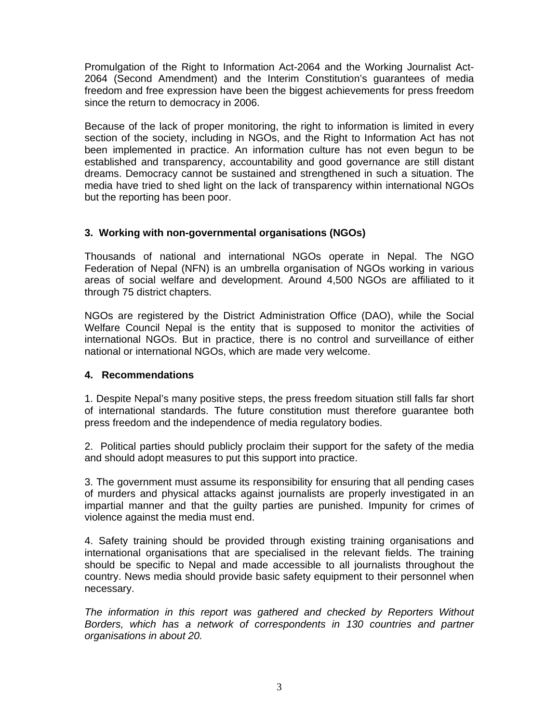Promulgation of the Right to Information Act-2064 and the Working Journalist Act-2064 (Second Amendment) and the Interim Constitution's guarantees of media freedom and free expression have been the biggest achievements for press freedom since the return to democracy in 2006.

Because of the lack of proper monitoring, the right to information is limited in every section of the society, including in NGOs, and the Right to Information Act has not been implemented in practice. An information culture has not even begun to be established and transparency, accountability and good governance are still distant dreams. Democracy cannot be sustained and strengthened in such a situation. The media have tried to shed light on the lack of transparency within international NGOs but the reporting has been poor.

## **3. Working with non-governmental organisations (NGOs)**

Thousands of national and international NGOs operate in Nepal. The NGO Federation of Nepal (NFN) is an umbrella organisation of NGOs working in various areas of social welfare and development. Around 4,500 NGOs are affiliated to it through 75 district chapters.

NGOs are registered by the District Administration Office (DAO), while the Social Welfare Council Nepal is the entity that is supposed to monitor the activities of international NGOs. But in practice, there is no control and surveillance of either national or international NGOs, which are made very welcome.

## **4. Recommendations**

1. Despite Nepal's many positive steps, the press freedom situation still falls far short of international standards. The future constitution must therefore guarantee both press freedom and the independence of media regulatory bodies.

2. Political parties should publicly proclaim their support for the safety of the media and should adopt measures to put this support into practice.

3. The government must assume its responsibility for ensuring that all pending cases of murders and physical attacks against journalists are properly investigated in an impartial manner and that the guilty parties are punished. Impunity for crimes of violence against the media must end.

4. Safety training should be provided through existing training organisations and international organisations that are specialised in the relevant fields. The training should be specific to Nepal and made accessible to all journalists throughout the country. News media should provide basic safety equipment to their personnel when necessary.

*The information in this report was gathered and checked by Reporters Without*  Borders, which has a network of correspondents in 130 countries and partner *organisations in about 20.*